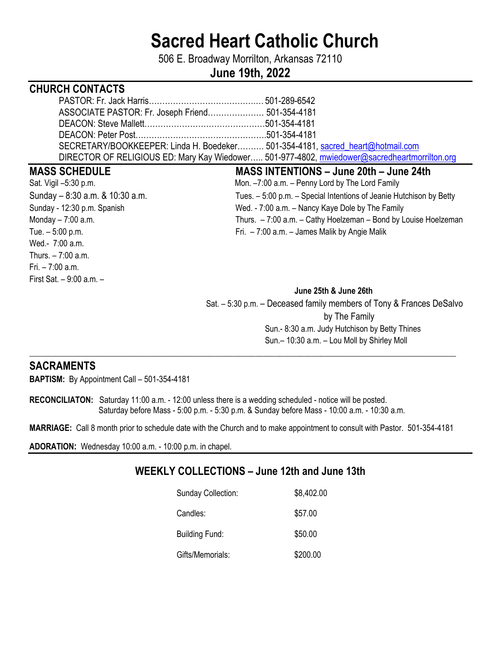# **Sacred Heart Catholic Church**

506 E. Broadway Morrilton, Arkansas 72110

# **June 19th, 2022**

# **CHURCH CONTACTS**

| ASSOCIATE PASTOR: Fr. Joseph Friend 501-354-4181                                             |  |
|----------------------------------------------------------------------------------------------|--|
|                                                                                              |  |
|                                                                                              |  |
| SECRETARY/BOOKKEEPER: Linda H. Boedeker 501-354-4181, sacred_heart@hotmail.com               |  |
| DIRECTOR OF RELIGIOUS ED: Mary Kay Wiedower 501-977-4802, mwiedower@sacredheartmorrilton.org |  |

Wed.- 7:00 a.m. Thurs. – 7:00 a.m.  $Fri - 7:00 a m$ First Sat. – 9:00 a.m. –

#### **MASS SCHEDULE MASS INTENTIONS – June 20th – June 24th**

Sat. Vigil –5:30 p.m. Case of the Mon. –7:00 a.m. – Penny Lord by The Lord Family Sunday – 8:30 a.m. & 10:30 a.m. Came and Tues. – 5:00 p.m. – Special Intentions of Jeanie Hutchison by Betty Sunday - 12:30 p.m. Spanish Wed. - 7:00 a.m. – Nancy Kaye Dole by The Family Monday – 7:00 a.m. Thurs. – 7:00 a.m. – Cathy Hoelzeman – Bond by Louise Hoelzeman Tue. – 5:00 p.m. Fri. – 7:00 a.m. – James Malik by Angie Malik

#### **June 25th & June 26th**

 Sat. – 5:30 p.m. – Deceased family members of Tony & Frances DeSalvo by The Family Sun.- 8:30 a.m. Judy Hutchison by Betty Thines Sun.– 10:30 a.m. – Lou Moll by Shirley Moll

## **SACRAMENTS**

**BAPTISM:** By Appointment Call – 501-354-4181

**RECONCILIATON:** Saturday 11:00 a.m. - 12:00 unless there is a wedding scheduled - notice will be posted. Saturday before Mass - 5:00 p.m. - 5:30 p.m. & Sunday before Mass - 10:00 a.m. - 10:30 a.m.

**MARRIAGE:** Call 8 month prior to schedule date with the Church and to make appointment to consult with Pastor. 501-354-4181

\_\_\_\_**\_\_\_\_\_\_\_\_\_\_\_\_\_\_\_\_\_\_\_\_\_\_\_\_\_\_\_\_\_\_\_\_\_\_\_\_\_\_\_\_\_\_\_\_\_\_\_\_\_\_\_\_\_\_\_\_\_\_\_\_\_\_\_\_\_\_\_\_\_\_\_\_\_\_\_\_\_\_\_\_\_\_\_\_\_\_\_\_\_\_\_\_\_\_\_\_\_\_\_\_** 

**ADORATION:** Wednesday 10:00 a.m. - 10:00 p.m. in chapel.

# **WEEKLY COLLECTIONS – June 12th and June 13th**

| <b>Sunday Collection:</b> | \$8,402.00 |
|---------------------------|------------|
| Candles:                  | \$57.00    |
| Building Fund:            | \$50.00    |
| Gifts/Memorials:          | \$200.00   |